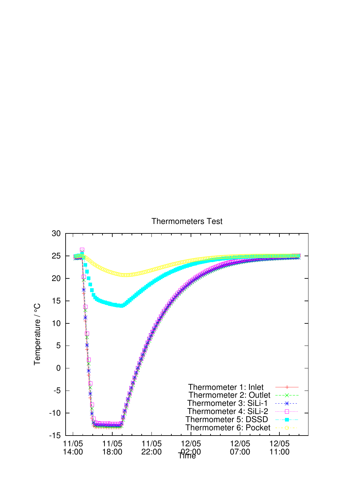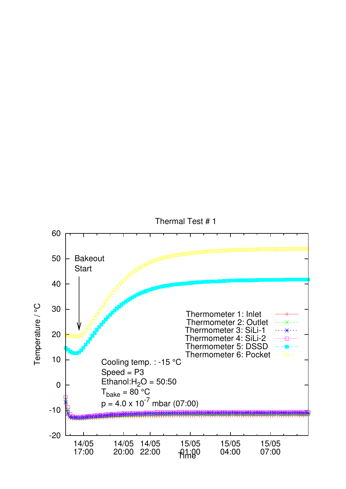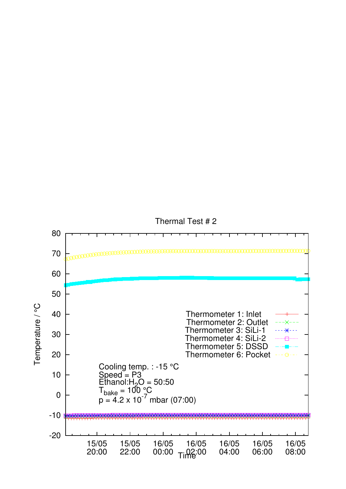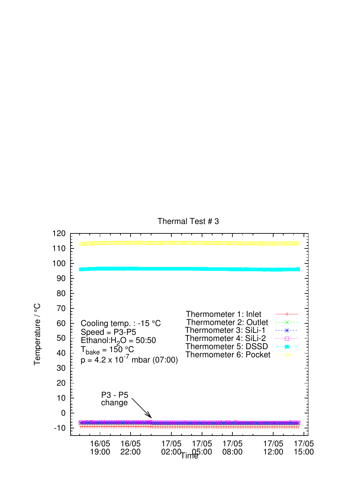

Thermal Test # 3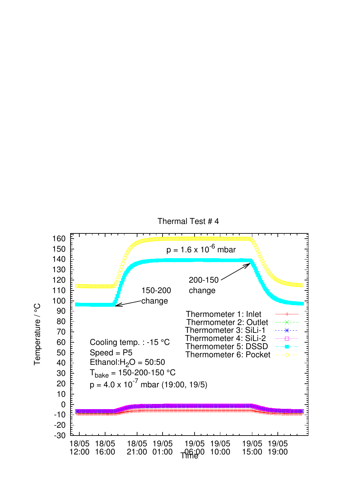



Temperature / °C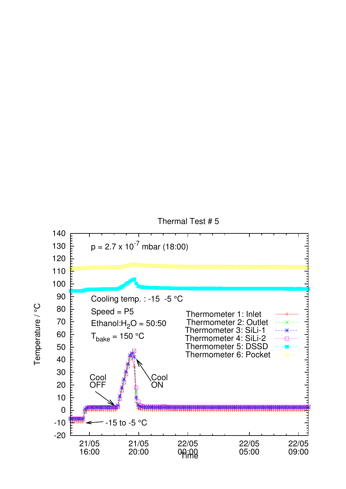

Thermal Test # 5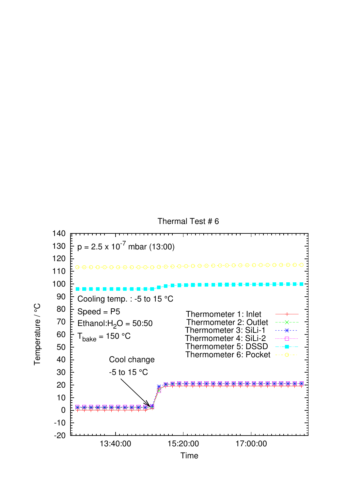